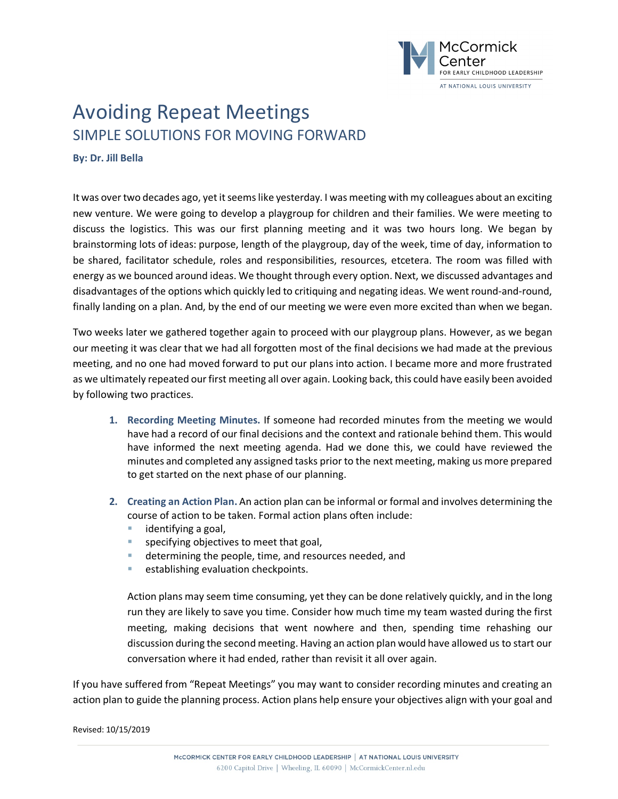

## Avoiding Repeat Meetings SIMPLE SOLUTIONS FOR MOVING FORWARD

**By: Dr. Jill Bella**

It was over two decades ago, yet it seems like yesterday. I was meeting with my colleagues about an exciting new venture. We were going to develop a playgroup for children and their families. We were meeting to discuss the logistics. This was our first planning meeting and it was two hours long. We began by brainstorming lots of ideas: purpose, length of the playgroup, day of the week, time of day, information to be shared, facilitator schedule, roles and responsibilities, resources, etcetera. The room was filled with energy as we bounced around ideas. We thought through every option. Next, we discussed advantages and disadvantages of the options which quickly led to critiquing and negating ideas. We went round-and-round, finally landing on a plan. And, by the end of our meeting we were even more excited than when we began.

Two weeks later we gathered together again to proceed with our playgroup plans. However, as we began our meeting it was clear that we had all forgotten most of the final decisions we had made at the previous meeting, and no one had moved forward to put our plans into action. I became more and more frustrated as we ultimately repeated our first meeting all over again. Looking back, this could have easily been avoided by following two practices.

- **1. Recording Meeting Minutes.** If someone had recorded minutes from the meeting we would have had a record of our final decisions and the context and rationale behind them. This would have informed the next meeting agenda. Had we done this, we could have reviewed the minutes and completed any assigned tasks prior to the next meeting, making us more prepared to get started on the next phase of our planning.
- **2. Creating an Action Plan.** An action plan can be informal or formal and involves determining the course of action to be taken. Formal action plans often include:
	- identifying a goal,
	- specifying objectives to meet that goal,
	- determining the people, time, and resources needed, and
	- establishing evaluation checkpoints.

Action plans may seem time consuming, yet they can be done relatively quickly, and in the long run they are likely to save you time. Consider how much time my team wasted during the first meeting, making decisions that went nowhere and then, spending time rehashing our discussion during the second meeting. Having an action plan would have allowed us to start our conversation where it had ended, rather than revisit it all over again.

If you have suffered from "Repeat Meetings" you may want to consider recording minutes and creating an action plan to guide the planning process. Action plans help ensure your objectives align with your goal and

Revised: 10/15/2019